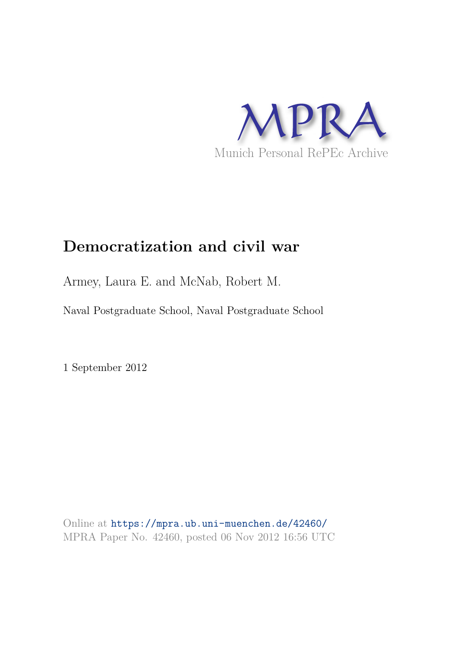

# **Democratization and civil war**

Armey, Laura E. and McNab, Robert M.

Naval Postgraduate School, Naval Postgraduate School

1 September 2012

Online at https://mpra.ub.uni-muenchen.de/42460/ MPRA Paper No. 42460, posted 06 Nov 2012 16:56 UTC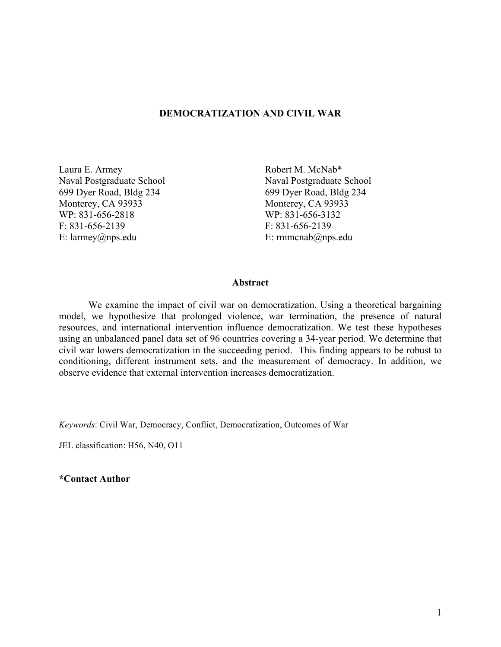## **DEMOCRATIZATION AND CIVIL WAR**

Naval Postgraduate School Monterey, CA 93933 Monterey, CA 93933 WP: 831-656-2818 WP: 831-656-3132 F: 831-656-2139 F: 831-656-2139 E: larmey@nps.edu E: rmmcnab@nps.edu

Laura E. Armey<br>
Naval Postgraduate School Naval Postgraduate School Naval Postgraduate School 699 Dyer Road, Bldg 234 699 Dyer Road, Bldg 234

## **Abstract**

 We examine the impact of civil war on democratization. Using a theoretical bargaining model, we hypothesize that prolonged violence, war termination, the presence of natural resources, and international intervention influence democratization. We test these hypotheses using an unbalanced panel data set of 96 countries covering a 34-year period. We determine that civil war lowers democratization in the succeeding period. This finding appears to be robust to conditioning, different instrument sets, and the measurement of democracy. In addition, we observe evidence that external intervention increases democratization.

*Keywords*: Civil War, Democracy, Conflict, Democratization, Outcomes of War

JEL classification: H56, N40, O11

**\*Contact Author**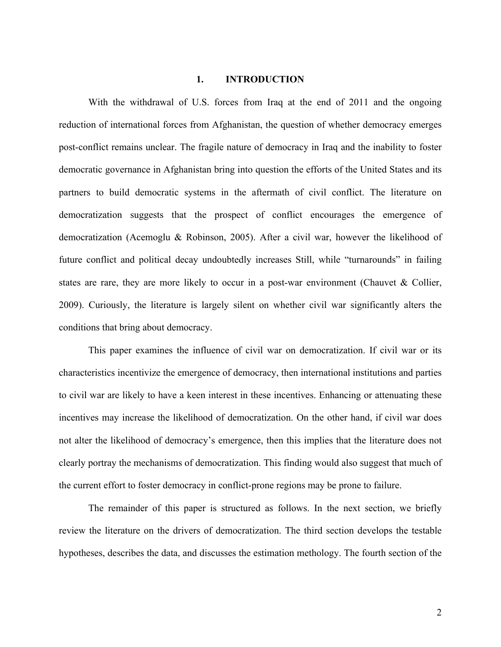#### **1. INTRODUCTION**

 With the withdrawal of U.S. forces from Iraq at the end of 2011 and the ongoing reduction of international forces from Afghanistan, the question of whether democracy emerges post-conflict remains unclear. The fragile nature of democracy in Iraq and the inability to foster democratic governance in Afghanistan bring into question the efforts of the United States and its partners to build democratic systems in the aftermath of civil conflict. The literature on democratization suggests that the prospect of conflict encourages the emergence of democratization (Acemoglu & Robinson, 2005). After a civil war, however the likelihood of future conflict and political decay undoubtedly increases Still, while "turnarounds" in failing states are rare, they are more likely to occur in a post-war environment (Chauvet & Collier, 2009). Curiously, the literature is largely silent on whether civil war significantly alters the conditions that bring about democracy.

 This paper examines the influence of civil war on democratization. If civil war or its characteristics incentivize the emergence of democracy, then international institutions and parties to civil war are likely to have a keen interest in these incentives. Enhancing or attenuating these incentives may increase the likelihood of democratization. On the other hand, if civil war does not alter the likelihood of democracy's emergence, then this implies that the literature does not clearly portray the mechanisms of democratization. This finding would also suggest that much of the current effort to foster democracy in conflict-prone regions may be prone to failure.

 The remainder of this paper is structured as follows. In the next section, we briefly review the literature on the drivers of democratization. The third section develops the testable hypotheses, describes the data, and discusses the estimation methology. The fourth section of the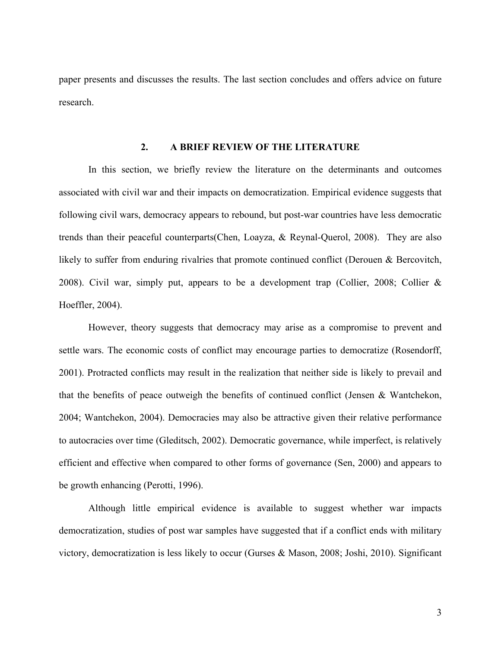paper presents and discusses the results. The last section concludes and offers advice on future research.

## **2. A BRIEF REVIEW OF THE LITERATURE**

In this section, we briefly review the literature on the determinants and outcomes associated with civil war and their impacts on democratization. Empirical evidence suggests that following civil wars, democracy appears to rebound, but post-war countries have less democratic trends than their peaceful counterparts(Chen, Loayza, & Reynal-Querol, 2008). They are also likely to suffer from enduring rivalries that promote continued conflict (Derouen & Bercovitch, 2008). Civil war, simply put, appears to be a development trap (Collier, 2008; Collier & Hoeffler, 2004).

However, theory suggests that democracy may arise as a compromise to prevent and settle wars. The economic costs of conflict may encourage parties to democratize (Rosendorff, 2001). Protracted conflicts may result in the realization that neither side is likely to prevail and that the benefits of peace outweigh the benefits of continued conflict (Jensen & Wantchekon, 2004; Wantchekon, 2004). Democracies may also be attractive given their relative performance to autocracies over time (Gleditsch, 2002). Democratic governance, while imperfect, is relatively efficient and effective when compared to other forms of governance (Sen, 2000) and appears to be growth enhancing (Perotti, 1996).

Although little empirical evidence is available to suggest whether war impacts democratization, studies of post war samples have suggested that if a conflict ends with military victory, democratization is less likely to occur (Gurses & Mason, 2008; Joshi, 2010). Significant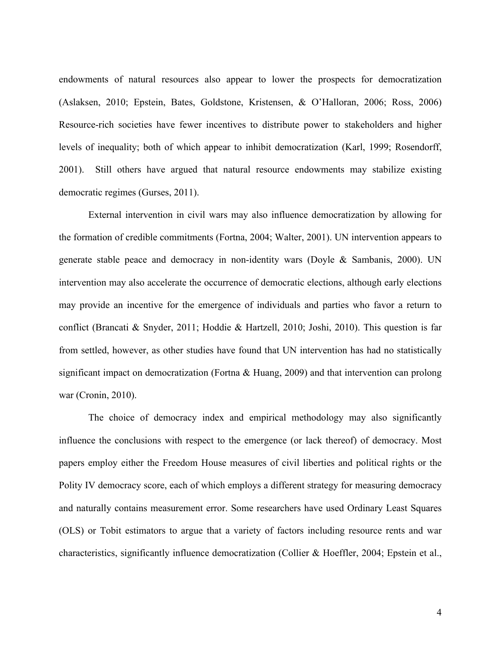endowments of natural resources also appear to lower the prospects for democratization (Aslaksen, 2010; Epstein, Bates, Goldstone, Kristensen, & O'Halloran, 2006; Ross, 2006) Resource-rich societies have fewer incentives to distribute power to stakeholders and higher levels of inequality; both of which appear to inhibit democratization (Karl, 1999; Rosendorff, 2001). Still others have argued that natural resource endowments may stabilize existing democratic regimes (Gurses, 2011).

External intervention in civil wars may also influence democratization by allowing for the formation of credible commitments (Fortna, 2004; Walter, 2001). UN intervention appears to generate stable peace and democracy in non-identity wars (Doyle & Sambanis, 2000). UN intervention may also accelerate the occurrence of democratic elections, although early elections may provide an incentive for the emergence of individuals and parties who favor a return to conflict (Brancati & Snyder, 2011; Hoddie & Hartzell, 2010; Joshi, 2010). This question is far from settled, however, as other studies have found that UN intervention has had no statistically significant impact on democratization (Fortna & Huang, 2009) and that intervention can prolong war (Cronin, 2010).

The choice of democracy index and empirical methodology may also significantly influence the conclusions with respect to the emergence (or lack thereof) of democracy. Most papers employ either the Freedom House measures of civil liberties and political rights or the Polity IV democracy score, each of which employs a different strategy for measuring democracy and naturally contains measurement error. Some researchers have used Ordinary Least Squares (OLS) or Tobit estimators to argue that a variety of factors including resource rents and war characteristics, significantly influence democratization (Collier & Hoeffler, 2004; Epstein et al.,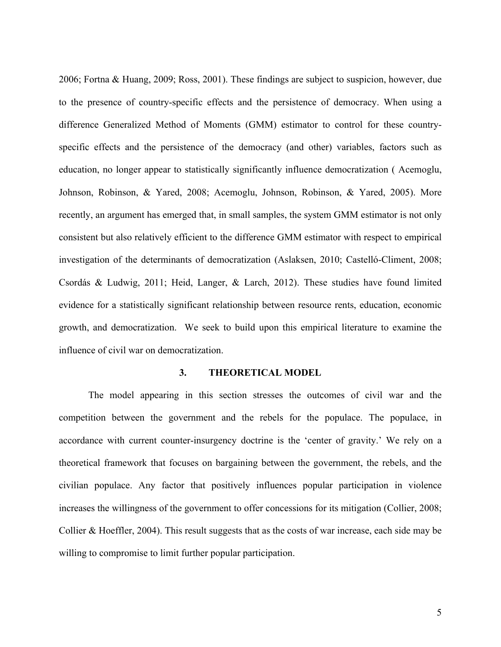2006; Fortna & Huang, 2009; Ross, 2001). These findings are subject to suspicion, however, due to the presence of country-specific effects and the persistence of democracy. When using a difference Generalized Method of Moments (GMM) estimator to control for these countryspecific effects and the persistence of the democracy (and other) variables, factors such as education, no longer appear to statistically significantly influence democratization ( Acemoglu, Johnson, Robinson, & Yared, 2008; Acemoglu, Johnson, Robinson, & Yared, 2005). More recently, an argument has emerged that, in small samples, the system GMM estimator is not only consistent but also relatively efficient to the difference GMM estimator with respect to empirical investigation of the determinants of democratization (Aslaksen, 2010; Castelló-Climent, 2008; Csordás & Ludwig, 2011; Heid, Langer, & Larch, 2012). These studies have found limited evidence for a statistically significant relationship between resource rents, education, economic growth, and democratization. We seek to build upon this empirical literature to examine the influence of civil war on democratization.

#### **3. THEORETICAL MODEL**

 The model appearing in this section stresses the outcomes of civil war and the competition between the government and the rebels for the populace. The populace, in accordance with current counter-insurgency doctrine is the 'center of gravity.' We rely on a theoretical framework that focuses on bargaining between the government, the rebels, and the civilian populace. Any factor that positively influences popular participation in violence increases the willingness of the government to offer concessions for its mitigation (Collier, 2008; Collier & Hoeffler, 2004). This result suggests that as the costs of war increase, each side may be willing to compromise to limit further popular participation.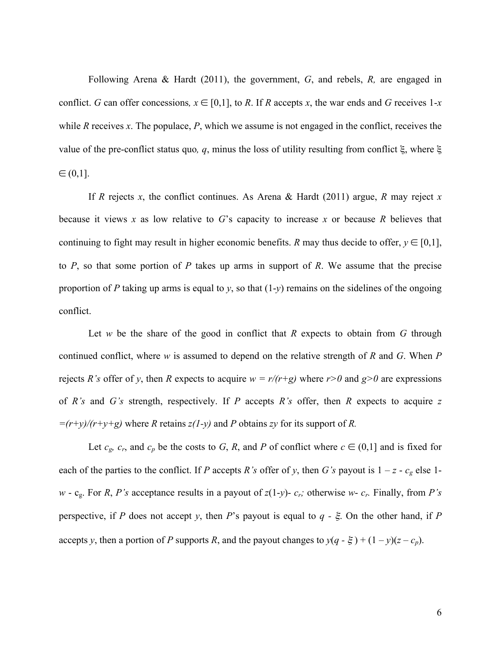Following Arena & Hardt (2011), the government, *G*, and rebels, *R,* are engaged in conflict. *G* can offer concessions,  $x \in [0,1]$ , to *R*. If *R* accepts *x*, the war ends and *G* receives 1-*x* while *R* receives *x*. The populace, *P*, which we assume is not engaged in the conflict, receives the value of the pre-conflict status quo*, q*, minus the loss of utility resulting from conflict ξ, where ξ  $\in (0,1]$ .

 If *R* rejects *x*, the conflict continues. As Arena & Hardt (2011) argue, *R* may reject *x* because it views *x* as low relative to *G*'s capacity to increase *x* or because *R* believes that continuing to fight may result in higher economic benefits. *R* may thus decide to offer,  $y \in [0,1]$ , to *P*, so that some portion of *P* takes up arms in support of *R*. We assume that the precise proportion of *P* taking up arms is equal to *y*, so that  $(1-y)$  remains on the sidelines of the ongoing conflict.

Let *w* be the share of the good in conflict that *R* expects to obtain from *G* through continued conflict, where *w* is assumed to depend on the relative strength of *R* and *G*. When *P* rejects *R's* offer of *y*, then *R* expects to acquire  $w = r/(r+g)$  where  $r>0$  and  $g>0$  are expressions of *R's* and *G's* strength, respectively. If *P* accepts *R's* offer, then *R* expects to acquire *z*   $=$  $(r+y)/(r+y+g)$  where *R* retains *z*(*l*-*y*) and *P* obtains *zy* for its support of *R*.

Let  $c_g$ ,  $c_r$ , and  $c_p$  be the costs to *G*, *R*, and *P* of conflict where  $c \in (0,1]$  and is fixed for each of the parties to the conflict. If *P* accepts *R's* offer of *y*, then *G's* payout is  $1 - z - c_g$  else 1 $w$  - c<sub>g</sub>. For *R*, *P*'s acceptance results in a payout of  $z(1-y)$ -  $c_r$ ; otherwise  $w$ -  $c_r$ . Finally, from *P*'s perspective, if *P* does not accept *y*, then *P*'s payout is equal to *q -* ξ. On the other hand, if *P* accepts *y*, then a portion of *P* supports *R*, and the payout changes to  $y(q - \xi) + (1 - y)(z - c_p)$ .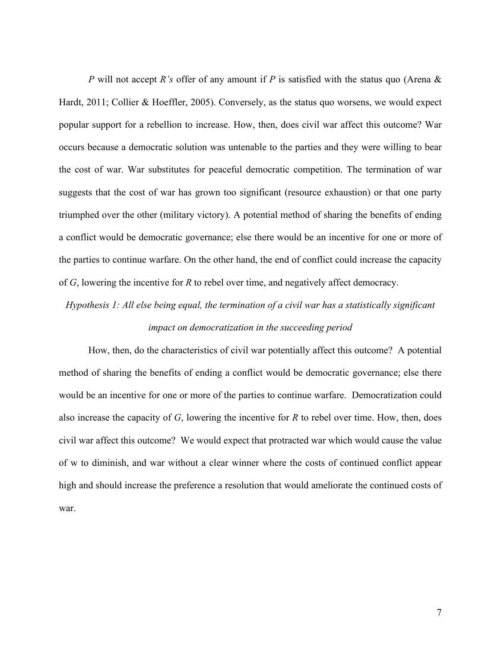*P* will not accept *R's* offer of any amount if *P* is satisfied with the status quo (Arena & Hardt, 2011; Collier & Hoeffler, 2005). Conversely, as the status quo worsens, we would expect popular support for a rebellion to increase. How, then, does civil war affect this outcome? War occurs because a democratic solution was untenable to the parties and they were willing to bear the cost of war. War substitutes for peaceful democratic competition. The termination of war suggests that the cost of war has grown too significant (resource exhaustion) or that one party triumphed over the other (military victory). A potential method of sharing the benefits of ending a conflict would be democratic governance; else there would be an incentive for one or more of the parties to continue warfare. On the other hand, the end of conflict could increase the capacity of *G*, lowering the incentive for *R* to rebel over time, and negatively affect democracy.

*Hypothesis 1: All else being equal, the termination of a civil war has a statistically significant impact on democratization in the succeeding period* 

How, then, do the characteristics of civil war potentially affect this outcome? A potential method of sharing the benefits of ending a conflict would be democratic governance; else there would be an incentive for one or more of the parties to continue warfare. Democratization could also increase the capacity of *G*, lowering the incentive for *R* to rebel over time. How, then, does civil war affect this outcome? We would expect that protracted war which would cause the value of w to diminish, and war without a clear winner where the costs of continued conflict appear high and should increase the preference a resolution that would ameliorate the continued costs of war.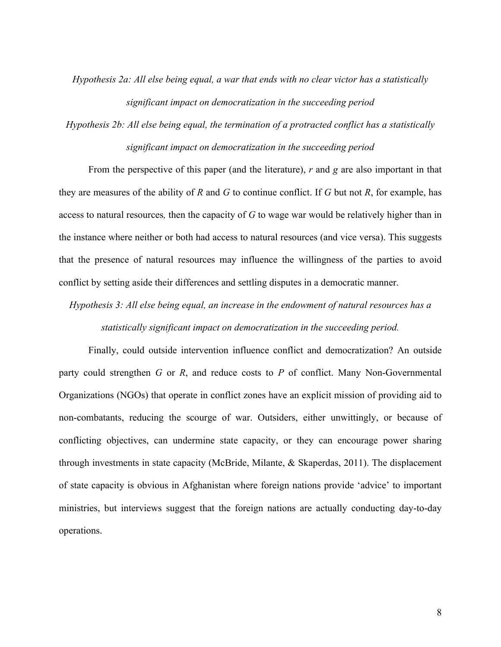*Hypothesis 2a: All else being equal, a war that ends with no clear victor has a statistically significant impact on democratization in the succeeding period* 

*Hypothesis 2b: All else being equal, the termination of a protracted conflict has a statistically significant impact on democratization in the succeeding period* 

From the perspective of this paper (and the literature), *r* and *g* are also important in that they are measures of the ability of *R* and *G* to continue conflict. If *G* but not *R*, for example, has access to natural resources*,* then the capacity of *G* to wage war would be relatively higher than in the instance where neither or both had access to natural resources (and vice versa). This suggests that the presence of natural resources may influence the willingness of the parties to avoid conflict by setting aside their differences and settling disputes in a democratic manner.

*Hypothesis 3: All else being equal, an increase in the endowment of natural resources has a statistically significant impact on democratization in the succeeding period.* 

Finally, could outside intervention influence conflict and democratization? An outside party could strengthen *G* or *R*, and reduce costs to *P* of conflict. Many Non-Governmental Organizations (NGOs) that operate in conflict zones have an explicit mission of providing aid to non-combatants, reducing the scourge of war. Outsiders, either unwittingly, or because of conflicting objectives, can undermine state capacity, or they can encourage power sharing through investments in state capacity (McBride, Milante, & Skaperdas, 2011). The displacement of state capacity is obvious in Afghanistan where foreign nations provide 'advice' to important ministries, but interviews suggest that the foreign nations are actually conducting day-to-day operations.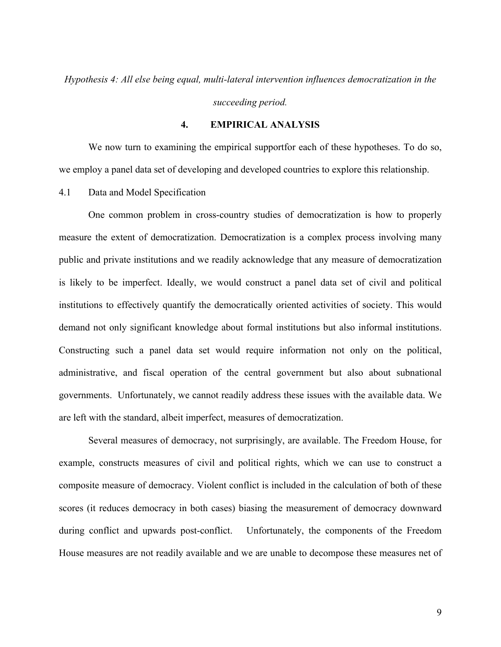*Hypothesis 4: All else being equal, multi-lateral intervention influences democratization in the* 

*succeeding period.* 

## **4. EMPIRICAL ANALYSIS**

We now turn to examining the empirical supportfor each of these hypotheses. To do so, we employ a panel data set of developing and developed countries to explore this relationship.

4.1 Data and Model Specification

One common problem in cross-country studies of democratization is how to properly measure the extent of democratization. Democratization is a complex process involving many public and private institutions and we readily acknowledge that any measure of democratization is likely to be imperfect. Ideally, we would construct a panel data set of civil and political institutions to effectively quantify the democratically oriented activities of society. This would demand not only significant knowledge about formal institutions but also informal institutions. Constructing such a panel data set would require information not only on the political, administrative, and fiscal operation of the central government but also about subnational governments. Unfortunately, we cannot readily address these issues with the available data. We are left with the standard, albeit imperfect, measures of democratization.

Several measures of democracy, not surprisingly, are available. The Freedom House, for example, constructs measures of civil and political rights, which we can use to construct a composite measure of democracy. Violent conflict is included in the calculation of both of these scores (it reduces democracy in both cases) biasing the measurement of democracy downward during conflict and upwards post-conflict. Unfortunately, the components of the Freedom House measures are not readily available and we are unable to decompose these measures net of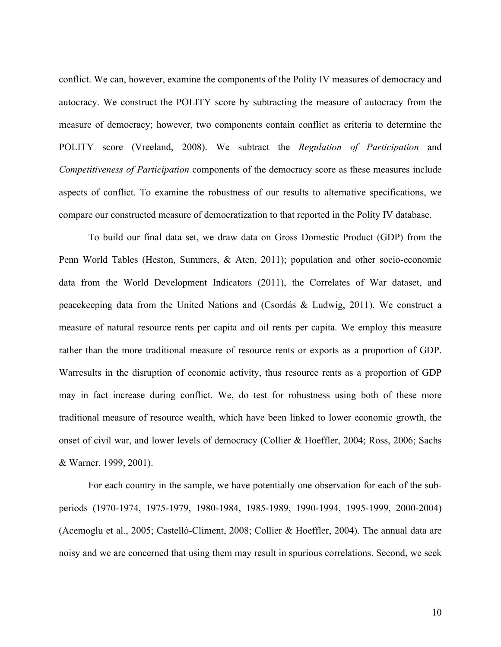conflict. We can, however, examine the components of the Polity IV measures of democracy and autocracy. We construct the POLITY score by subtracting the measure of autocracy from the measure of democracy; however, two components contain conflict as criteria to determine the POLITY score (Vreeland, 2008). We subtract the *Regulation of Participation* and *Competitiveness of Participation* components of the democracy score as these measures include aspects of conflict. To examine the robustness of our results to alternative specifications, we compare our constructed measure of democratization to that reported in the Polity IV database.

To build our final data set, we draw data on Gross Domestic Product (GDP) from the Penn World Tables (Heston, Summers, & Aten, 2011); population and other socio-economic data from the World Development Indicators (2011), the Correlates of War dataset, and peacekeeping data from the United Nations and (Csordás & Ludwig, 2011). We construct a measure of natural resource rents per capita and oil rents per capita. We employ this measure rather than the more traditional measure of resource rents or exports as a proportion of GDP. Warresults in the disruption of economic activity, thus resource rents as a proportion of GDP may in fact increase during conflict. We, do test for robustness using both of these more traditional measure of resource wealth, which have been linked to lower economic growth, the onset of civil war, and lower levels of democracy (Collier & Hoeffler, 2004; Ross, 2006; Sachs & Warner, 1999, 2001).

For each country in the sample, we have potentially one observation for each of the subperiods (1970-1974, 1975-1979, 1980-1984, 1985-1989, 1990-1994, 1995-1999, 2000-2004) (Acemoglu et al., 2005; Castelló-Climent, 2008; Collier & Hoeffler, 2004). The annual data are noisy and we are concerned that using them may result in spurious correlations. Second, we seek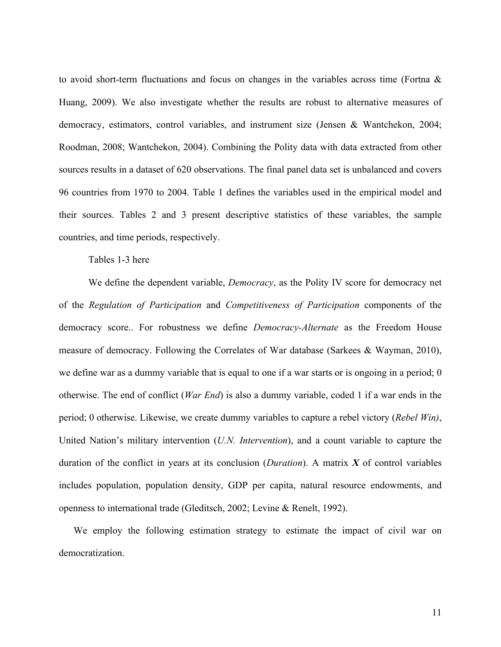to avoid short-term fluctuations and focus on changes in the variables across time (Fortna & Huang, 2009). We also investigate whether the results are robust to alternative measures of democracy, estimators, control variables, and instrument size (Jensen & Wantchekon, 2004; Roodman, 2008; Wantchekon, 2004). Combining the Polity data with data extracted from other sources results in a dataset of 620 observations. The final panel data set is unbalanced and covers 96 countries from 1970 to 2004. Table 1 defines the variables used in the empirical model and their sources. Tables 2 and 3 present descriptive statistics of these variables, the sample countries, and time periods, respectively.

Tables 1-3 here

 We define the dependent variable, *Democracy*, as the Polity IV score for democracy net of the *Regulation of Participation* and *Competitiveness of Participation* components of the democracy score.. For robustness we define *Democracy-Alternate* as the Freedom House measure of democracy. Following the Correlates of War database (Sarkees & Wayman, 2010), we define war as a dummy variable that is equal to one if a war starts or is ongoing in a period; 0 otherwise. The end of conflict (*War End*) is also a dummy variable, coded 1 if a war ends in the period; 0 otherwise. Likewise, we create dummy variables to capture a rebel victory (*Rebel Win)*, United Nation's military intervention (*U.N. Intervention*), and a count variable to capture the duration of the conflict in years at its conclusion (*Duration*). A matrix *X* of control variables includes population, population density, GDP per capita, natural resource endowments, and openness to international trade (Gleditsch, 2002; Levine & Renelt, 1992).

We employ the following estimation strategy to estimate the impact of civil war on democratization.

11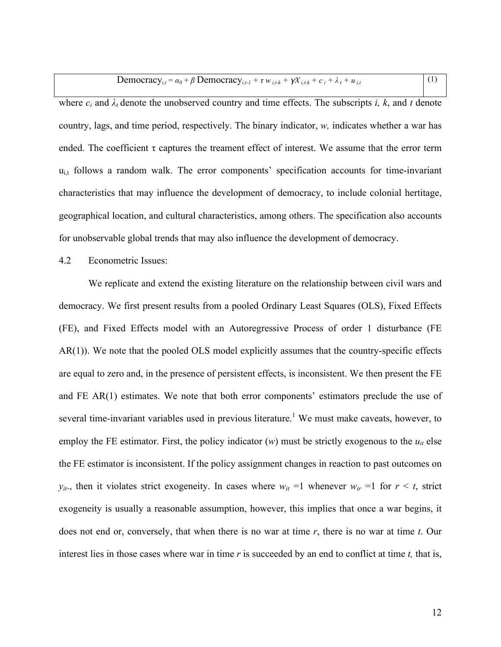| Democracy <sub>i,t</sub> = $\alpha_0$ + $\beta$ Democracy <sub>i,t-1</sub> + $\tau w_{i,t-k}$ + $\gamma X_{i,t-k}$ + $c_i$ + $\lambda_t$ + $u_{i,t}$ |  |
|------------------------------------------------------------------------------------------------------------------------------------------------------|--|
|------------------------------------------------------------------------------------------------------------------------------------------------------|--|

where  $c_i$  and  $\lambda_i$  denote the unobserved country and time effects. The subscripts *i, k,* and *t* denote country, lags, and time period, respectively. The binary indicator, *w,* indicates whether a war has ended. The coefficient  $\tau$  captures the treament effect of interest. We assume that the error term  $u_{i,t}$  follows a random walk. The error components' specification accounts for time-invariant characteristics that may influence the development of democracy, to include colonial hertitage, geographical location, and cultural characteristics, among others. The specification also accounts for unobservable global trends that may also influence the development of democracy.

## 4.2 Econometric Issues:

We replicate and extend the existing literature on the relationship between civil wars and democracy. We first present results from a pooled Ordinary Least Squares (OLS), Fixed Effects (FE), and Fixed Effects model with an Autoregressive Process of order 1 disturbance (FE AR(1)). We note that the pooled OLS model explicitly assumes that the country-specific effects are equal to zero and, in the presence of persistent effects, is inconsistent. We then present the FE and FE AR(1) estimates. We note that both error components' estimators preclude the use of several time-invariant variables used in previous literature.<sup>1</sup> We must make caveats, however, to employ the FE estimator. First, the policy indicator  $(w)$  must be strictly exogenous to the  $u_{it}$  else the FE estimator is inconsistent. If the policy assignment changes in reaction to past outcomes on  $y_{it}$ , then it violates strict exogeneity. In cases where  $w_{it} = 1$  whenever  $w_{it} = 1$  for  $r \leq t$ , strict exogeneity is usually a reasonable assumption, however, this implies that once a war begins, it does not end or, conversely, that when there is no war at time *r*, there is no war at time *t*. Our interest lies in those cases where war in time *r* is succeeded by an end to conflict at time *t,* that is,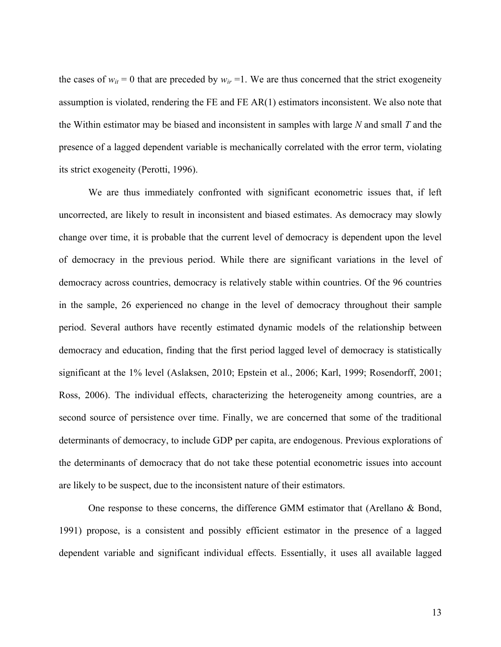the cases of  $w_{it} = 0$  that are preceded by  $w_{ir} = 1$ . We are thus concerned that the strict exogeneity assumption is violated, rendering the FE and FE AR(1) estimators inconsistent. We also note that the Within estimator may be biased and inconsistent in samples with large *N* and small *T* and the presence of a lagged dependent variable is mechanically correlated with the error term, violating its strict exogeneity (Perotti, 1996).

We are thus immediately confronted with significant econometric issues that, if left uncorrected, are likely to result in inconsistent and biased estimates. As democracy may slowly change over time, it is probable that the current level of democracy is dependent upon the level of democracy in the previous period. While there are significant variations in the level of democracy across countries, democracy is relatively stable within countries. Of the 96 countries in the sample, 26 experienced no change in the level of democracy throughout their sample period. Several authors have recently estimated dynamic models of the relationship between democracy and education, finding that the first period lagged level of democracy is statistically significant at the 1% level (Aslaksen, 2010; Epstein et al., 2006; Karl, 1999; Rosendorff, 2001; Ross, 2006). The individual effects, characterizing the heterogeneity among countries, are a second source of persistence over time. Finally, we are concerned that some of the traditional determinants of democracy, to include GDP per capita, are endogenous. Previous explorations of the determinants of democracy that do not take these potential econometric issues into account are likely to be suspect, due to the inconsistent nature of their estimators.

 One response to these concerns, the difference GMM estimator that (Arellano & Bond, 1991) propose, is a consistent and possibly efficient estimator in the presence of a lagged dependent variable and significant individual effects. Essentially, it uses all available lagged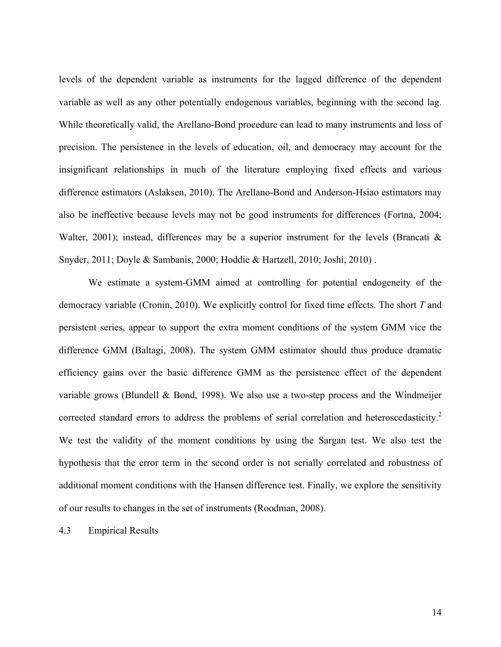levels of the dependent variable as instruments for the lagged difference of the dependent variable as well as any other potentially endogenous variables, beginning with the second lag. While theoretically valid, the Arellano-Bond procedure can lead to many instruments and loss of precision. The persistence in the levels of education, oil, and democracy may account for the insignificant relationships in much of the literature employing fixed effects and various difference estimators (Aslaksen, 2010). The Arellano-Bond and Anderson-Hsiao estimators may also be ineffective because levels may not be good instruments for differences (Fortna, 2004; Walter, 2001); instead, differences may be a superior instrument for the levels (Brancati & Snyder, 2011; Doyle & Sambanis, 2000; Hoddie & Hartzell, 2010; Joshi, 2010) .

We estimate a system-GMM aimed at controlling for potential endogeneity of the democracy variable (Cronin, 2010). We explicitly control for fixed time effects. The short *T* and persistent series, appear to support the extra moment conditions of the system GMM vice the difference GMM (Baltagi, 2008). The system GMM estimator should thus produce dramatic efficiency gains over the basic difference GMM as the persistence effect of the dependent variable grows (Blundell & Bond, 1998). We also use a two-step process and the Windmeijer corrected standard errors to address the problems of serial correlation and heteroscedasticity.<sup>2</sup> We test the validity of the moment conditions by using the Sargan test. We also test the hypothesis that the error term in the second order is not serially correlated and robustness of additional moment conditions with the Hansen difference test. Finally, we explore the sensitivity of our results to changes in the set of instruments (Roodman, 2008).

4.3 Empirical Results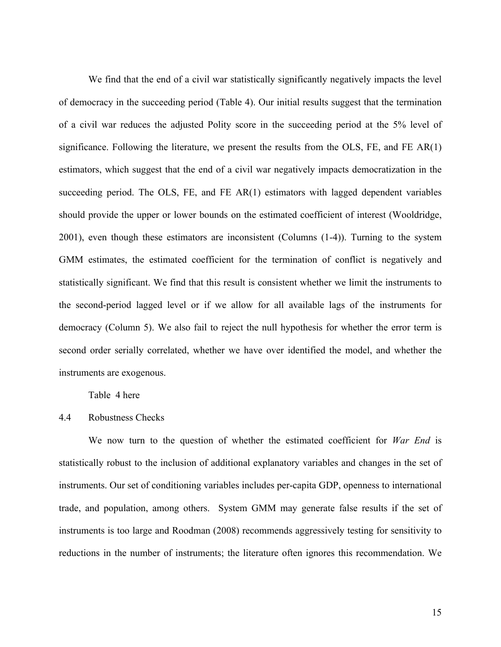We find that the end of a civil war statistically significantly negatively impacts the level of democracy in the succeeding period (Table 4). Our initial results suggest that the termination of a civil war reduces the adjusted Polity score in the succeeding period at the 5% level of significance. Following the literature, we present the results from the OLS, FE, and FE AR(1) estimators, which suggest that the end of a civil war negatively impacts democratization in the succeeding period. The OLS, FE, and FE AR(1) estimators with lagged dependent variables should provide the upper or lower bounds on the estimated coefficient of interest (Wooldridge, 2001), even though these estimators are inconsistent (Columns (1-4)). Turning to the system GMM estimates, the estimated coefficient for the termination of conflict is negatively and statistically significant. We find that this result is consistent whether we limit the instruments to the second-period lagged level or if we allow for all available lags of the instruments for democracy (Column 5). We also fail to reject the null hypothesis for whether the error term is second order serially correlated, whether we have over identified the model, and whether the instruments are exogenous.

Table 4 here

## 4.4 Robustness Checks

 We now turn to the question of whether the estimated coefficient for *War End* is statistically robust to the inclusion of additional explanatory variables and changes in the set of instruments. Our set of conditioning variables includes per-capita GDP, openness to international trade, and population, among others. System GMM may generate false results if the set of instruments is too large and Roodman (2008) recommends aggressively testing for sensitivity to reductions in the number of instruments; the literature often ignores this recommendation. We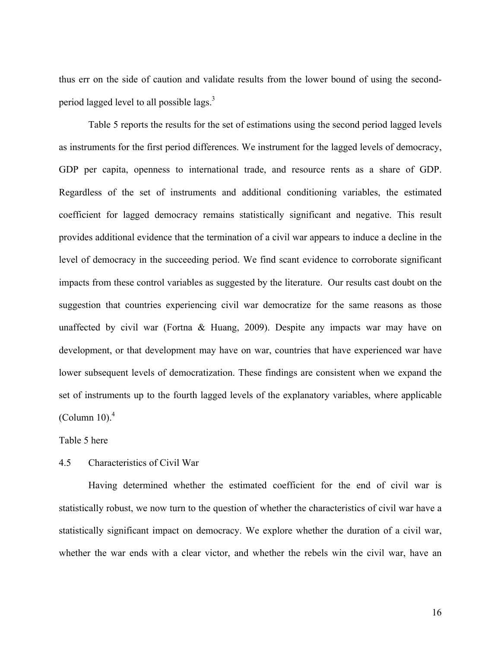thus err on the side of caution and validate results from the lower bound of using the secondperiod lagged level to all possible lags.<sup>3</sup>

 Table 5 reports the results for the set of estimations using the second period lagged levels as instruments for the first period differences. We instrument for the lagged levels of democracy, GDP per capita, openness to international trade, and resource rents as a share of GDP. Regardless of the set of instruments and additional conditioning variables, the estimated coefficient for lagged democracy remains statistically significant and negative. This result provides additional evidence that the termination of a civil war appears to induce a decline in the level of democracy in the succeeding period. We find scant evidence to corroborate significant impacts from these control variables as suggested by the literature. Our results cast doubt on the suggestion that countries experiencing civil war democratize for the same reasons as those unaffected by civil war (Fortna & Huang, 2009). Despite any impacts war may have on development, or that development may have on war, countries that have experienced war have lower subsequent levels of democratization. These findings are consistent when we expand the set of instruments up to the fourth lagged levels of the explanatory variables, where applicable (Column 10). $<sup>4</sup>$ </sup>

Table 5 here

## 4.5 Characteristics of Civil War

 Having determined whether the estimated coefficient for the end of civil war is statistically robust, we now turn to the question of whether the characteristics of civil war have a statistically significant impact on democracy. We explore whether the duration of a civil war, whether the war ends with a clear victor, and whether the rebels win the civil war, have an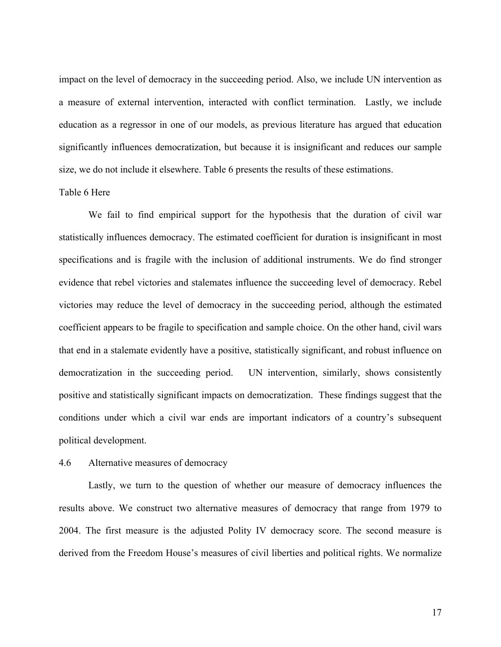impact on the level of democracy in the succeeding period. Also, we include UN intervention as a measure of external intervention, interacted with conflict termination. Lastly, we include education as a regressor in one of our models, as previous literature has argued that education significantly influences democratization, but because it is insignificant and reduces our sample size, we do not include it elsewhere. Table 6 presents the results of these estimations.

## Table 6 Here

 We fail to find empirical support for the hypothesis that the duration of civil war statistically influences democracy. The estimated coefficient for duration is insignificant in most specifications and is fragile with the inclusion of additional instruments. We do find stronger evidence that rebel victories and stalemates influence the succeeding level of democracy. Rebel victories may reduce the level of democracy in the succeeding period, although the estimated coefficient appears to be fragile to specification and sample choice. On the other hand, civil wars that end in a stalemate evidently have a positive, statistically significant, and robust influence on democratization in the succeeding period. UN intervention, similarly, shows consistently positive and statistically significant impacts on democratization. These findings suggest that the conditions under which a civil war ends are important indicators of a country's subsequent political development.

## 4.6 Alternative measures of democracy

 Lastly, we turn to the question of whether our measure of democracy influences the results above. We construct two alternative measures of democracy that range from 1979 to 2004. The first measure is the adjusted Polity IV democracy score. The second measure is derived from the Freedom House's measures of civil liberties and political rights. We normalize

17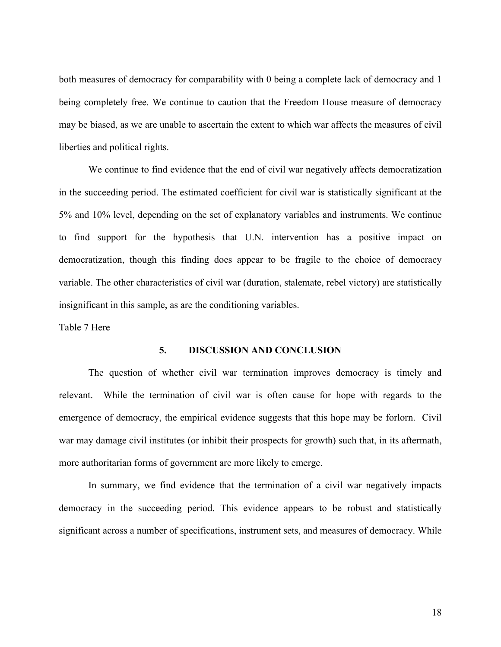both measures of democracy for comparability with 0 being a complete lack of democracy and 1 being completely free. We continue to caution that the Freedom House measure of democracy may be biased, as we are unable to ascertain the extent to which war affects the measures of civil liberties and political rights.

 We continue to find evidence that the end of civil war negatively affects democratization in the succeeding period. The estimated coefficient for civil war is statistically significant at the 5% and 10% level, depending on the set of explanatory variables and instruments. We continue to find support for the hypothesis that U.N. intervention has a positive impact on democratization, though this finding does appear to be fragile to the choice of democracy variable. The other characteristics of civil war (duration, stalemate, rebel victory) are statistically insignificant in this sample, as are the conditioning variables.

Table 7 Here

## **5. DISCUSSION AND CONCLUSION**

 The question of whether civil war termination improves democracy is timely and relevant. While the termination of civil war is often cause for hope with regards to the emergence of democracy, the empirical evidence suggests that this hope may be forlorn. Civil war may damage civil institutes (or inhibit their prospects for growth) such that, in its aftermath, more authoritarian forms of government are more likely to emerge.

In summary, we find evidence that the termination of a civil war negatively impacts democracy in the succeeding period. This evidence appears to be robust and statistically significant across a number of specifications, instrument sets, and measures of democracy. While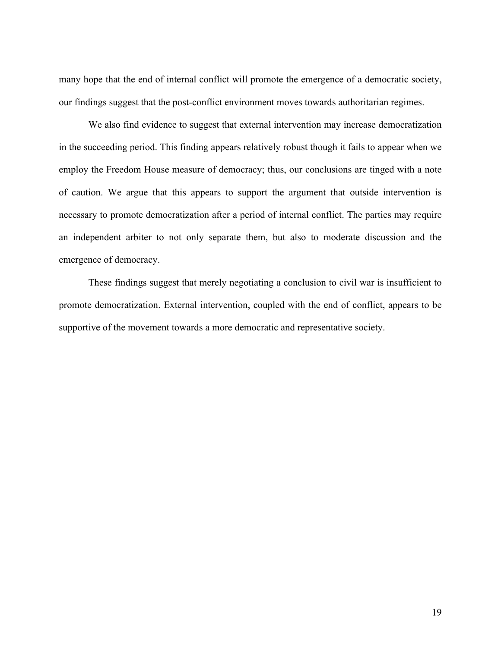many hope that the end of internal conflict will promote the emergence of a democratic society, our findings suggest that the post-conflict environment moves towards authoritarian regimes.

We also find evidence to suggest that external intervention may increase democratization in the succeeding period. This finding appears relatively robust though it fails to appear when we employ the Freedom House measure of democracy; thus, our conclusions are tinged with a note of caution. We argue that this appears to support the argument that outside intervention is necessary to promote democratization after a period of internal conflict. The parties may require an independent arbiter to not only separate them, but also to moderate discussion and the emergence of democracy.

These findings suggest that merely negotiating a conclusion to civil war is insufficient to promote democratization. External intervention, coupled with the end of conflict, appears to be supportive of the movement towards a more democratic and representative society.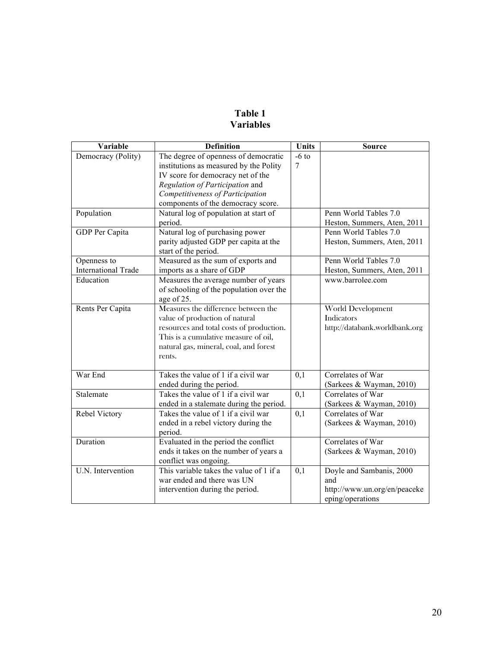# **Table 1 Variables**

| Variable                   | <b>Definition</b>                        | <b>Units</b> | <b>Source</b>                 |
|----------------------------|------------------------------------------|--------------|-------------------------------|
| Democracy (Polity)         | The degree of openness of democratic     | $-6$ to      |                               |
|                            | institutions as measured by the Polity   | 7            |                               |
|                            | IV score for democracy net of the        |              |                               |
|                            | Regulation of Participation and          |              |                               |
|                            | Competitiveness of Participation         |              |                               |
|                            | components of the democracy score.       |              |                               |
| Population                 | Natural log of population at start of    |              | Penn World Tables 7.0         |
|                            | period.                                  |              | Heston, Summers, Aten, 2011   |
| GDP Per Capita             | Natural log of purchasing power          |              | Penn World Tables 7.0         |
|                            | parity adjusted GDP per capita at the    |              | Heston, Summers, Aten, 2011   |
|                            | start of the period.                     |              |                               |
| Openness to                | Measured as the sum of exports and       |              | Penn World Tables 7.0         |
| <b>International Trade</b> | imports as a share of GDP                |              | Heston, Summers, Aten, 2011   |
| Education                  | Measures the average number of years     |              | www.barrolee.com              |
|                            | of schooling of the population over the  |              |                               |
|                            | age of 25.                               |              |                               |
| Rents Per Capita           | Measures the difference between the      |              | World Development             |
|                            | value of production of natural           |              | Indicators                    |
|                            | resources and total costs of production. |              | http://databank.worldbank.org |
|                            | This is a cumulative measure of oil,     |              |                               |
|                            | natural gas, mineral, coal, and forest   |              |                               |
|                            | rents.                                   |              |                               |
|                            |                                          |              |                               |
| War End                    | Takes the value of 1 if a civil war      | 0,1          | Correlates of War             |
|                            | ended during the period.                 |              | (Sarkees & Wayman, 2010)      |
| Stalemate                  | Takes the value of 1 if a civil war      | 0,1          | Correlates of War             |
|                            | ended in a stalemate during the period.  |              | (Sarkees & Wayman, 2010)      |
| Rebel Victory              | Takes the value of 1 if a civil war      | 0,1          | Correlates of War             |
|                            | ended in a rebel victory during the      |              | (Sarkees & Wayman, 2010)      |
|                            | period.                                  |              |                               |
| Duration                   | Evaluated in the period the conflict     |              | Correlates of War             |
|                            | ends it takes on the number of years a   |              | (Sarkees & Wayman, 2010)      |
|                            | conflict was ongoing.                    |              |                               |
| U.N. Intervention          | This variable takes the value of 1 if a  | 0,1          | Doyle and Sambanis, 2000      |
|                            | war ended and there was UN               |              | and                           |
|                            | intervention during the period.          |              | http://www.un.org/en/peaceke  |
|                            |                                          |              | eping/operations              |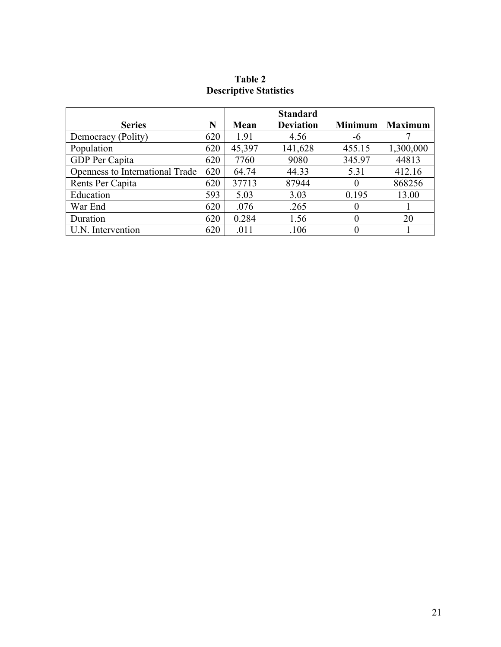# **Table 2 Descriptive Statistics**

|                                 |     |        | <b>Standard</b>  |                |                |
|---------------------------------|-----|--------|------------------|----------------|----------------|
| <b>Series</b>                   | N   | Mean   | <b>Deviation</b> | <b>Minimum</b> | <b>Maximum</b> |
| Democracy (Polity)              | 620 | 1.91   | 4.56             | -6             |                |
| Population                      | 620 | 45,397 | 141,628          | 455.15         | 1,300,000      |
| GDP Per Capita                  | 620 | 7760   | 9080             | 345.97         | 44813          |
| Openness to International Trade | 620 | 64.74  | 44.33            | 5.31           | 412.16         |
| Rents Per Capita                | 620 | 37713  | 87944            |                | 868256         |
| Education                       | 593 | 5.03   | 3.03             | 0.195          | 13.00          |
| War End                         | 620 | .076   | .265             |                |                |
| Duration                        | 620 | 0.284  | 1.56             | 0              | 20             |
| U.N. Intervention               | 620 | .011   | .106             |                |                |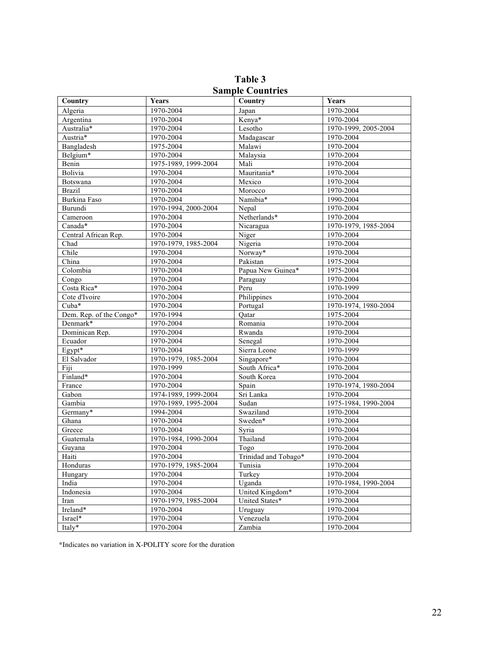| $\sigma$ ангріс Сойны ісэ |                      |                      |                      |  |  |  |  |
|---------------------------|----------------------|----------------------|----------------------|--|--|--|--|
| Country                   | Years                | Country              | Years                |  |  |  |  |
| Algeria                   | 1970-2004            | Japan                | 1970-2004            |  |  |  |  |
| Argentina                 | 1970-2004            | Kenya*               | 1970-2004            |  |  |  |  |
| Australia*                | 1970-2004            | Lesotho              | 1970-1999, 2005-2004 |  |  |  |  |
| Austria*                  | 1970-2004            | Madagascar           | 1970-2004            |  |  |  |  |
| Bangladesh                | 1975-2004            | Malawi               | 1970-2004            |  |  |  |  |
| Belgium*                  | 1970-2004            | Malaysia             | 1970-2004            |  |  |  |  |
| Benin                     | 1975-1989, 1999-2004 | Mali                 | 1970-2004            |  |  |  |  |
| Bolivia                   | 1970-2004            | Mauritania*          | 1970-2004            |  |  |  |  |
| Botswana                  | 1970-2004            | Mexico               | 1970-2004            |  |  |  |  |
| <b>Brazil</b>             | 1970-2004            | Morocco              | 1970-2004            |  |  |  |  |
| Burkina Faso              | 1970-2004            | Namibia*             | 1990-2004            |  |  |  |  |
| Burundi                   | 1970-1994, 2000-2004 | Nepal                | 1970-2004            |  |  |  |  |
| Cameroon                  | 1970-2004            | Netherlands*         | 1970-2004            |  |  |  |  |
| Canada*                   | 1970-2004            | Nicaragua            | 1970-1979, 1985-2004 |  |  |  |  |
| Central African Rep.      | 1970-2004            | Niger                | 1970-2004            |  |  |  |  |
| Chad                      | 1970-1979, 1985-2004 | Nigeria              | 1970-2004            |  |  |  |  |
| Chile                     | 1970-2004            | Norway*              | 1970-2004            |  |  |  |  |
| China                     | 1970-2004            | Pakistan             | 1975-2004            |  |  |  |  |
| Colombia                  | 1970-2004            | Papua New Guinea*    | 1975-2004            |  |  |  |  |
| Congo                     | 1970-2004            | Paraguay             | 1970-2004            |  |  |  |  |
| Costa Rica*               | 1970-2004            | Peru                 | 1970-1999            |  |  |  |  |
| Cote d'Ivoire             | 1970-2004            | Philippines          | 1970-2004            |  |  |  |  |
| Cuba*                     | 1970-2004            | Portugal             | 1970-1974, 1980-2004 |  |  |  |  |
| Dem. Rep. of the Congo*   | 1970-1994            | Oatar                | 1975-2004            |  |  |  |  |
| Denmark*                  | 1970-2004            | Romania              | 1970-2004            |  |  |  |  |
| Dominican Rep.            | 1970-2004            | Rwanda               | 1970-2004            |  |  |  |  |
| Ecuador                   | 1970-2004            | Senegal              | 1970-2004            |  |  |  |  |
| Egypt*                    | 1970-2004            | Sierra Leone         | 1970-1999            |  |  |  |  |
| El Salvador               | 1970-1979, 1985-2004 | Singapore*           | 1970-2004            |  |  |  |  |
| Fiji                      | 1970-1999            | South Africa*        | 1970-2004            |  |  |  |  |
| Finland*                  | 1970-2004            | South Korea          | 1970-2004            |  |  |  |  |
| France                    | 1970-2004            | Spain                | 1970-1974, 1980-2004 |  |  |  |  |
| Gabon                     | 1974-1989, 1999-2004 | Sri Lanka            | 1970-2004            |  |  |  |  |
| Gambia                    | 1970-1989, 1995-2004 | Sudan                | 1975-1984, 1990-2004 |  |  |  |  |
| Germany*                  | 1994-2004            | Swaziland            | 1970-2004            |  |  |  |  |
| Ghana                     | 1970-2004            | Sweden*              | 1970-2004            |  |  |  |  |
| Greece                    | 1970-2004            | Syria                | 1970-2004            |  |  |  |  |
| Guatemala                 | 1970-1984, 1990-2004 | Thailand             | 1970-2004            |  |  |  |  |
| Guyana                    | 1970-2004            | Togo                 | 1970-2004            |  |  |  |  |
| Haiti                     | 1970-2004            | Trinidad and Tobago* | 1970-2004            |  |  |  |  |
| Honduras                  | 1970-1979, 1985-2004 | Tunisia              | 1970-2004            |  |  |  |  |
| Hungary                   | 1970-2004            | Turkey               | 1970-2004            |  |  |  |  |
| India                     | 1970-2004            | Uganda               | 1970-1984, 1990-2004 |  |  |  |  |
| Indonesia                 | 1970-2004            | United Kingdom*      | 1970-2004            |  |  |  |  |
| Iran                      | 1970-1979, 1985-2004 | United States*       | 1970-2004            |  |  |  |  |
| Ireland*                  | 1970-2004            | Uruguay              | 1970-2004            |  |  |  |  |
| Israel*                   | 1970-2004            | Venezuela            | 1970-2004            |  |  |  |  |
| Italy*                    | 1970-2004            | Zambia               | 1970-2004            |  |  |  |  |
|                           |                      |                      |                      |  |  |  |  |

**Table 3 Sample Countries** 

\*Indicates no variation in X-POLITY score for the duration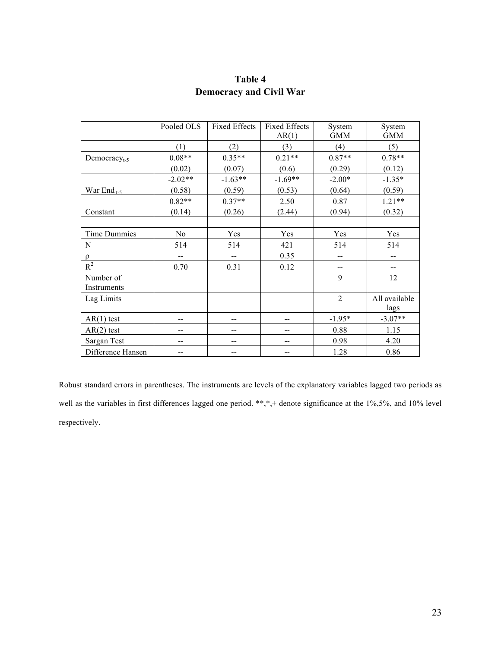|                          | Pooled OLS | <b>Fixed Effects</b> | <b>Fixed Effects</b><br>AR(1) | System<br><b>GMM</b> | System<br><b>GMM</b> |
|--------------------------|------------|----------------------|-------------------------------|----------------------|----------------------|
|                          | (1)        | (2)                  | (3)                           | (4)                  | (5)                  |
| Democracy <sub>t-5</sub> | $0.08**$   | $0.35**$             | $0.21**$                      | $0.87**$             | $0.78**$             |
|                          | (0.02)     | (0.07)               | (0.6)                         | (0.29)               | (0.12)               |
|                          | $-2.02**$  | $-1.63**$            | $-1.69**$                     | $-2.00*$             | $-1.35*$             |
| War End <sub>t-5</sub>   | (0.58)     | (0.59)               | (0.53)                        | (0.64)               | (0.59)               |
|                          | $0.82**$   | $0.37**$             | 2.50                          | 0.87                 | $1.21**$             |
| Constant                 | (0.14)     | (0.26)               | (2.44)                        | (0.94)               | (0.32)               |
|                          |            |                      |                               |                      |                      |
| <b>Time Dummies</b>      | No         | Yes                  | Yes                           | Yes                  | Yes                  |
| N                        | 514        | 514                  | 421                           | 514                  | 514                  |
| $\rho$                   |            |                      | 0.35                          |                      |                      |
| $R^2$                    | 0.70       | 0.31                 | 0.12                          | --                   | $- -$                |
| Number of                |            |                      |                               | 9                    | 12                   |
| Instruments              |            |                      |                               |                      |                      |
| Lag Limits               |            |                      |                               | $\overline{2}$       | All available        |
|                          |            |                      |                               |                      | lags                 |
| $AR(1)$ test             | --         |                      |                               | $-1.95*$             | $-3.07**$            |
| $AR(2)$ test             | --         | --                   | --                            | 0.88                 | 1.15                 |
| Sargan Test              | --         |                      | --                            | 0.98                 | 4.20                 |
| Difference Hansen        |            |                      |                               | 1.28                 | 0.86                 |

# **Table 4 Democracy and Civil War**

Robust standard errors in parentheses. The instruments are levels of the explanatory variables lagged two periods as well as the variables in first differences lagged one period. \*\*,\*,+ denote significance at the 1%,5%, and 10% level respectively.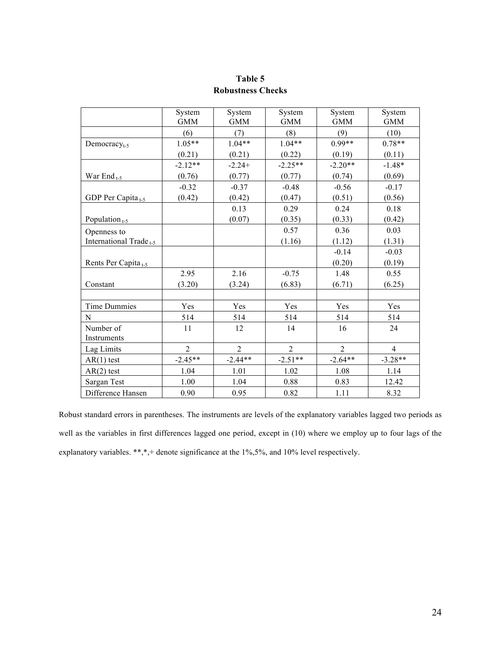|                                    | System<br><b>GMM</b> | System<br><b>GMM</b> | System<br><b>GMM</b> | System<br><b>GMM</b> | System<br><b>GMM</b> |
|------------------------------------|----------------------|----------------------|----------------------|----------------------|----------------------|
|                                    | (6)                  | (7)                  | (8)                  | (9)                  | (10)                 |
| Democracy $_{t-5}$                 | $1.05**$             | $1.04**$             | $1.04**$             | $0.99**$             | $0.78**$             |
|                                    | (0.21)               | (0.21)               | (0.22)               | (0.19)               | (0.11)               |
|                                    | $-2.12**$            | $-2.24+$             | $-2.25**$            | $-2.20**$            | $-1.48*$             |
| War End <sub>t-5</sub>             | (0.76)               | (0.77)               | (0.77)               | (0.74)               | (0.69)               |
|                                    | $-0.32$              | $-0.37$              | $-0.48$              | $-0.56$              | $-0.17$              |
| GDP Per Capita <sub>t-5</sub>      | (0.42)               | (0.42)               | (0.47)               | (0.51)               | (0.56)               |
|                                    |                      | 0.13                 | 0.29                 | 0.24                 | 0.18                 |
| Population $_{t-5}$                |                      | (0.07)               | (0.35)               | (0.33)               | (0.42)               |
| Openness to                        |                      |                      | 0.57                 | 0.36                 | 0.03                 |
| International Trade <sub>t-5</sub> |                      |                      | (1.16)               | (1.12)               | (1.31)               |
|                                    |                      |                      |                      | $-0.14$              | $-0.03$              |
| Rents Per Capita <sub>t-5</sub>    |                      |                      |                      | (0.20)               | (0.19)               |
|                                    | 2.95                 | 2.16                 | $-0.75$              | 1.48                 | 0.55                 |
| Constant                           | (3.20)               | (3.24)               | (6.83)               | (6.71)               | (6.25)               |
|                                    |                      |                      |                      |                      |                      |
| Time Dummies                       | Yes                  | Yes                  | Yes                  | Yes                  | Yes                  |
| $\mathbf N$                        | 514                  | 514                  | 514                  | 514                  | 514                  |
| Number of                          | 11                   | 12                   | 14                   | 16                   | 24                   |
| Instruments                        |                      |                      |                      |                      |                      |
| Lag Limits                         | $\overline{2}$       | $\overline{2}$       | $\overline{2}$       | $\overline{2}$       | $\overline{4}$       |
| $AR(1)$ test                       | $-2.45**$            | $-2.44**$            | $-2.51**$            | $-2.64**$            | $-3.28**$            |
| $AR(2)$ test                       | 1.04                 | 1.01                 | 1.02                 | 1.08                 | 1.14                 |
| Sargan Test                        | 1.00                 | 1.04                 | 0.88                 | 0.83                 | 12.42                |
| Difference Hansen                  | 0.90                 | 0.95                 | 0.82                 | 1.11                 | 8.32                 |

**Table 5 Robustness Checks**

Robust standard errors in parentheses. The instruments are levels of the explanatory variables lagged two periods as well as the variables in first differences lagged one period, except in (10) where we employ up to four lags of the explanatory variables. \*\*,\*,+ denote significance at the 1%,5%, and 10% level respectively.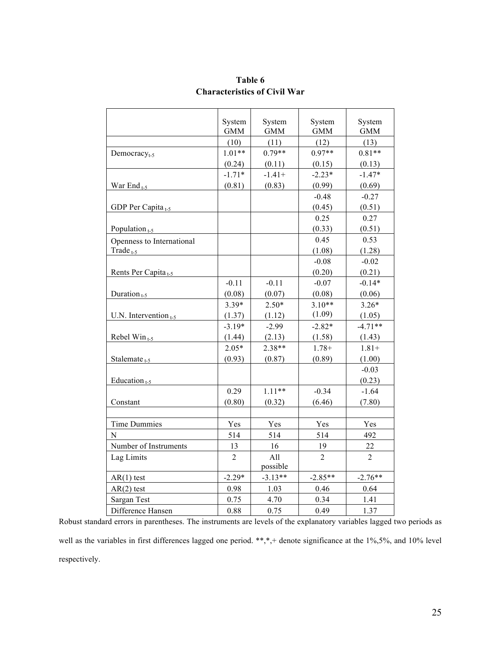|                                 | System         | System     | System         | System     |
|---------------------------------|----------------|------------|----------------|------------|
|                                 | <b>GMM</b>     | <b>GMM</b> | <b>GMM</b>     | <b>GMM</b> |
|                                 | (10)           | (11)       | (12)           | (13)       |
| Democracy <sub>t-5</sub>        | $1.01**$       | $0.79**$   | $0.97**$       | $0.81**$   |
|                                 | (0.24)         | (0.11)     | (0.15)         | (0.13)     |
|                                 | $-1.71*$       | $-1.41+$   | $-2.23*$       | $-1.47*$   |
| War End <sub>t-5</sub>          | (0.81)         | (0.83)     | (0.99)         | (0.69)     |
|                                 |                |            | $-0.48$        | $-0.27$    |
| GDP Per Capita <sub>t-5</sub>   |                |            | (0.45)         | (0.51)     |
|                                 |                |            | 0.25           | 0.27       |
| Population $_{t-5}$             |                |            | (0.33)         | (0.51)     |
| Openness to International       |                |            | 0.45           | 0.53       |
| Trade $_{t-5}$                  |                |            | (1.08)         | (1.28)     |
|                                 |                |            | $-0.08$        | $-0.02$    |
| Rents Per Capita <sub>t-5</sub> |                |            | (0.20)         | (0.21)     |
|                                 | $-0.11$        | $-0.11$    | $-0.07$        | $-0.14*$   |
| Duration $_{t-5}$               | (0.08)         | (0.07)     | (0.08)         | (0.06)     |
|                                 | $3.39*$        | $2.50*$    | $3.10**$       | $3.26*$    |
| U.N. Intervention $_{t-5}$      | (1.37)         | (1.12)     | (1.09)         | (1.05)     |
|                                 | $-3.19*$       | $-2.99$    | $-2.82*$       | $-4.71**$  |
| Rebel Win $_{t=5}$              | (1.44)         | (2.13)     | (1.58)         | (1.43)     |
|                                 | $2.05*$        | $2.38**$   | $1.78+$        | $1.81 +$   |
| Stalemate <sub>t-5</sub>        | (0.93)         | (0.87)     | (0.89)         | (1.00)     |
|                                 |                |            |                | $-0.03$    |
| Education <sub>t-5</sub>        |                |            |                | (0.23)     |
|                                 | 0.29           | $1.11**$   | $-0.34$        | $-1.64$    |
| Constant                        | (0.80)         | (0.32)     | (6.46)         | (7.80)     |
|                                 |                |            |                |            |
| <b>Time Dummies</b>             | Yes            | Yes        | Yes            | Yes        |
| $\overline{N}$                  | 514            | 514        | 514            | 492        |
| Number of Instruments           | 13             | 16         | 19             | 22         |
| Lag Limits                      | $\overline{2}$ | All        | $\mathfrak{D}$ | 2          |
|                                 |                | possible   |                |            |
| $AR(1)$ test                    | $-2.29*$       | $-3.13**$  | $-2.85**$      | $-2.76**$  |
| $AR(2)$ test                    | 0.98           | 1.03       | 0.46           | 0.64       |
| Sargan Test                     | 0.75           | 4.70       | 0.34           | 1.41       |
| Difference Hansen               | 0.88           | 0.75       | 0.49           | 1.37       |

## **Table 6 Characteristics of Civil War**

Robust standard errors in parentheses. The instruments are levels of the explanatory variables lagged two periods as well as the variables in first differences lagged one period. \*\*,\*,+ denote significance at the 1%,5%, and 10% level respectively.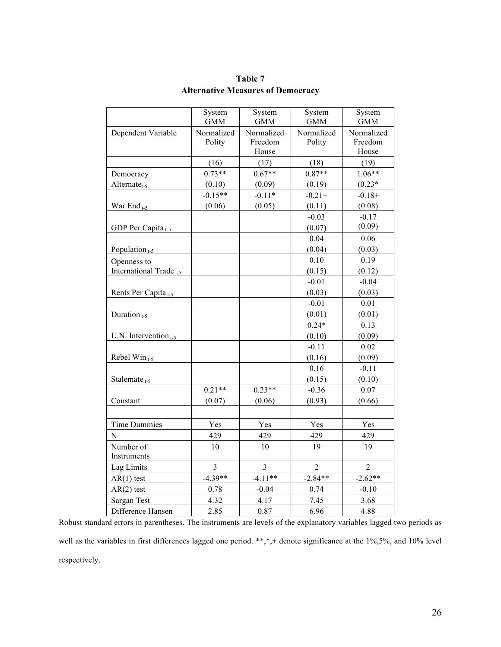|                                    | System<br><b>GMM</b> | System<br><b>GMM</b>           | System<br><b>GMM</b> | System<br><b>GMM</b>           |
|------------------------------------|----------------------|--------------------------------|----------------------|--------------------------------|
| Dependent Variable                 | Normalized<br>Polity | Normalized<br>Freedom<br>House | Normalized<br>Polity | Normalized<br>Freedom<br>House |
|                                    | (16)                 | (17)                           | (18)                 | (19)                           |
| Democracy                          | $0.73**$             | $0.67**$                       | $0.87**$             | $1.06**$                       |
| $Alternate_{t-5}$                  | (0.10)               | (0.09)                         | (0.19)               | $(0.23*)$                      |
|                                    | $-0.15**$            | $-0.11*$                       | $-0.21+$             | $-0.18+$                       |
| War End <sub>t-5</sub>             | (0.06)               | (0.05)                         | (0.11)               | (0.08)                         |
|                                    |                      |                                | $-0.03$              | $-0.17$<br>(0.09)              |
| GDP Per Capita <sub>t-5</sub>      |                      |                                | (0.07)               |                                |
|                                    |                      |                                | 0.04<br>(0.04)       | 0.06                           |
| Population $_{t=5}$                |                      |                                |                      | (0.03)                         |
| Openness to                        |                      |                                | 0.10                 | 0.19                           |
| International Trade <sub>t-5</sub> |                      |                                | (0.15)<br>$-0.01$    | (0.12)<br>$-0.04$              |
|                                    |                      |                                | (0.03)               | (0.03)                         |
| Rents Per Capita <sub>t-5</sub>    |                      |                                | $-0.01$              | 0.01                           |
| Duration <sub>t-5</sub>            |                      |                                | (0.01)               | (0.01)                         |
|                                    |                      |                                | $0.24*$              | 0.13                           |
| U.N. Intervention $_{t=5}$         |                      |                                | (0.10)               | (0.09)                         |
|                                    |                      |                                | $-0.11$              | 0.02                           |
| Rebel $Win_{t-5}$                  |                      |                                | (0.16)               | (0.09)                         |
|                                    |                      |                                | 0.16                 | $-0.11$                        |
| Stalemate <sub>t-5</sub>           |                      |                                | (0.15)               | (0.10)                         |
|                                    | $0.21**$             | $0.23**$                       | $-0.36$              | 0.07                           |
| Constant                           | (0.07)               | (0.06)                         | (0.93)               | (0.66)                         |
|                                    |                      |                                |                      |                                |
| <b>Time Dummies</b>                | Yes                  | Yes                            | Yes                  | Yes                            |
| $\overline{N}$                     | 429                  | 429                            | 429                  | 429                            |
| Number of<br>Instruments           | 10                   | 10                             | 19                   | 19                             |
| Lag Limits                         | $\overline{3}$       | $\overline{3}$                 | $\overline{2}$       | $\overline{2}$                 |
| $AR(1)$ test                       | $-4.39**$            | $-4.11**$                      | $-2.84**$            | $-2.62**$                      |
| $AR(2)$ test                       | 0.78                 | $-0.04$                        | 0.74                 | $-0.10$                        |
| Sargan Test                        | 4.32                 | 4.17                           | 7.45                 | 3.68                           |
| Difference Hansen                  | 2.85                 | 0.87                           | 6.96                 | 4.88                           |

**Table 7 Alternative Measures of Democracy**

Robust standard errors in parentheses. The instruments are levels of the explanatory variables lagged two periods as well as the variables in first differences lagged one period. \*\*,\*,+ denote significance at the 1%,5%, and 10% level respectively.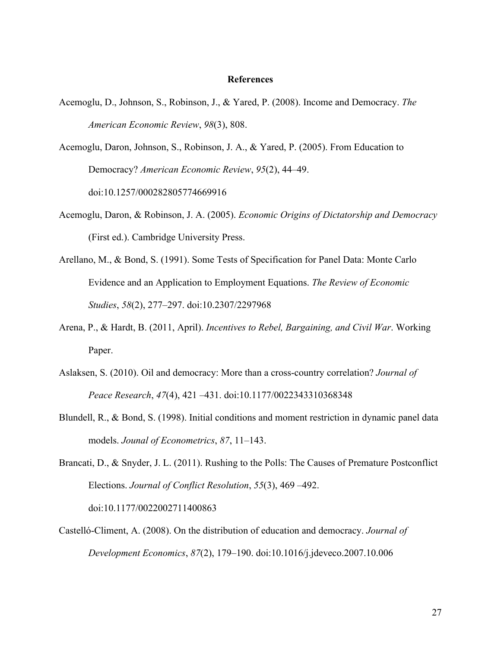#### **References**

- Acemoglu, D., Johnson, S., Robinson, J., & Yared, P. (2008). Income and Democracy. *The American Economic Review*, *98*(3), 808.
- Acemoglu, Daron, Johnson, S., Robinson, J. A., & Yared, P. (2005). From Education to Democracy? *American Economic Review*, *95*(2), 44–49. doi:10.1257/000282805774669916
- Acemoglu, Daron, & Robinson, J. A. (2005). *Economic Origins of Dictatorship and Democracy* (First ed.). Cambridge University Press.
- Arellano, M., & Bond, S. (1991). Some Tests of Specification for Panel Data: Monte Carlo Evidence and an Application to Employment Equations. *The Review of Economic Studies*, *58*(2), 277–297. doi:10.2307/2297968
- Arena, P., & Hardt, B. (2011, April). *Incentives to Rebel, Bargaining, and Civil War*. Working Paper.
- Aslaksen, S. (2010). Oil and democracy: More than a cross-country correlation? *Journal of Peace Research*, *47*(4), 421 –431. doi:10.1177/0022343310368348
- Blundell, R., & Bond, S. (1998). Initial conditions and moment restriction in dynamic panel data models. *Jounal of Econometrics*, *87*, 11–143.
- Brancati, D., & Snyder, J. L. (2011). Rushing to the Polls: The Causes of Premature Postconflict Elections. *Journal of Conflict Resolution*, *55*(3), 469 –492. doi:10.1177/0022002711400863
- Castelló-Climent, A. (2008). On the distribution of education and democracy. *Journal of Development Economics*, *87*(2), 179–190. doi:10.1016/j.jdeveco.2007.10.006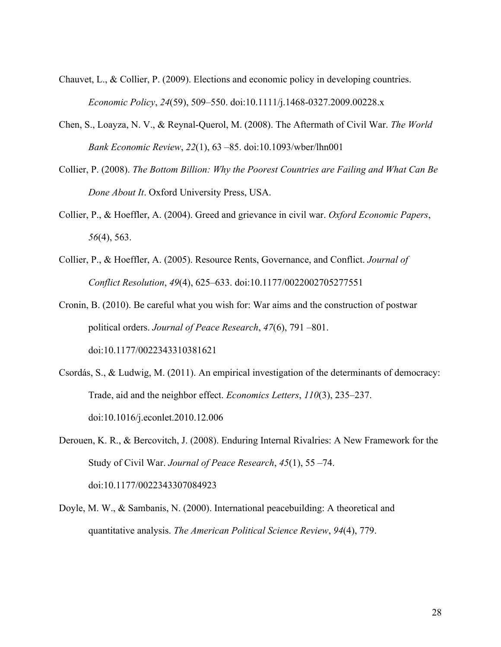- Chauvet, L., & Collier, P. (2009). Elections and economic policy in developing countries. *Economic Policy*, *24*(59), 509–550. doi:10.1111/j.1468-0327.2009.00228.x
- Chen, S., Loayza, N. V., & Reynal-Querol, M. (2008). The Aftermath of Civil War. *The World Bank Economic Review*, *22*(1), 63 –85. doi:10.1093/wber/lhn001
- Collier, P. (2008). *The Bottom Billion: Why the Poorest Countries are Failing and What Can Be Done About It*. Oxford University Press, USA.
- Collier, P., & Hoeffler, A. (2004). Greed and grievance in civil war. *Oxford Economic Papers*, *56*(4), 563.
- Collier, P., & Hoeffler, A. (2005). Resource Rents, Governance, and Conflict. *Journal of Conflict Resolution*, *49*(4), 625–633. doi:10.1177/0022002705277551
- Cronin, B. (2010). Be careful what you wish for: War aims and the construction of postwar political orders. *Journal of Peace Research*, *47*(6), 791 –801. doi:10.1177/0022343310381621
- Csordás, S., & Ludwig, M. (2011). An empirical investigation of the determinants of democracy: Trade, aid and the neighbor effect. *Economics Letters*, *110*(3), 235–237. doi:10.1016/j.econlet.2010.12.006

Derouen, K. R., & Bercovitch, J. (2008). Enduring Internal Rivalries: A New Framework for the Study of Civil War. *Journal of Peace Research*, *45*(1), 55 –74. doi:10.1177/0022343307084923

Doyle, M. W., & Sambanis, N. (2000). International peacebuilding: A theoretical and quantitative analysis. *The American Political Science Review*, *94*(4), 779.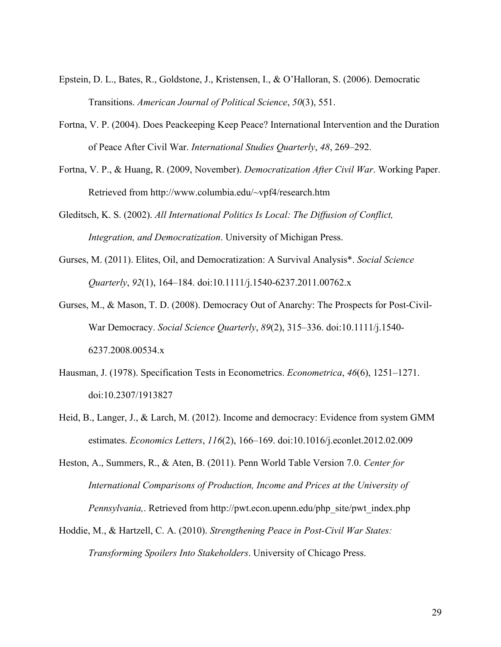- Epstein, D. L., Bates, R., Goldstone, J., Kristensen, I., & O'Halloran, S. (2006). Democratic Transitions. *American Journal of Political Science*, *50*(3), 551.
- Fortna, V. P. (2004). Does Peackeeping Keep Peace? International Intervention and the Duration of Peace After Civil War. *International Studies Quarterly*, *48*, 269–292.
- Fortna, V. P., & Huang, R. (2009, November). *Democratization After Civil War*. Working Paper. Retrieved from http://www.columbia.edu/~vpf4/research.htm
- Gleditsch, K. S. (2002). *All International Politics Is Local: The Diffusion of Conflict, Integration, and Democratization*. University of Michigan Press.
- Gurses, M. (2011). Elites, Oil, and Democratization: A Survival Analysis\*. *Social Science Quarterly*, *92*(1), 164–184. doi:10.1111/j.1540-6237.2011.00762.x
- Gurses, M., & Mason, T. D. (2008). Democracy Out of Anarchy: The Prospects for Post-Civil-War Democracy. *Social Science Quarterly*, *89*(2), 315–336. doi:10.1111/j.1540- 6237.2008.00534.x
- Hausman, J. (1978). Specification Tests in Econometrics. *Econometrica*, *46*(6), 1251–1271. doi:10.2307/1913827
- Heid, B., Langer, J., & Larch, M. (2012). Income and democracy: Evidence from system GMM estimates. *Economics Letters*, *116*(2), 166–169. doi:10.1016/j.econlet.2012.02.009
- Heston, A., Summers, R., & Aten, B. (2011). Penn World Table Version 7.0. *Center for International Comparisons of Production, Income and Prices at the University of Pennsylvania,*. Retrieved from http://pwt.econ.upenn.edu/php\_site/pwt\_index.php
- Hoddie, M., & Hartzell, C. A. (2010). *Strengthening Peace in Post-Civil War States: Transforming Spoilers Into Stakeholders*. University of Chicago Press.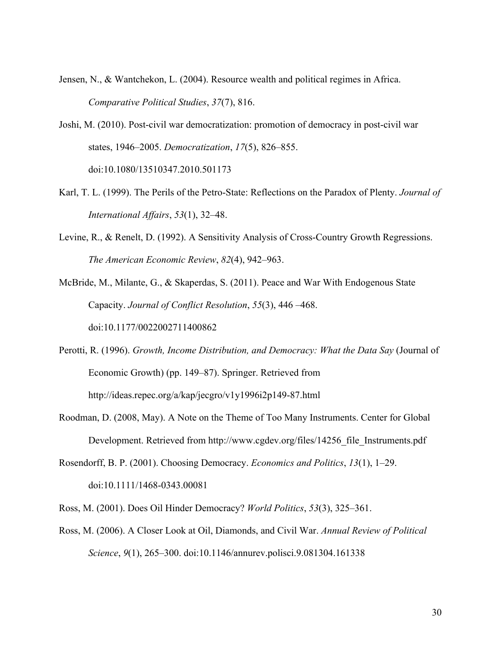- Jensen, N., & Wantchekon, L. (2004). Resource wealth and political regimes in Africa. *Comparative Political Studies*, *37*(7), 816.
- Joshi, M. (2010). Post-civil war democratization: promotion of democracy in post-civil war states, 1946–2005. *Democratization*, *17*(5), 826–855. doi:10.1080/13510347.2010.501173
- Karl, T. L. (1999). The Perils of the Petro-State: Reflections on the Paradox of Plenty. *Journal of International Affairs*, *53*(1), 32–48.
- Levine, R., & Renelt, D. (1992). A Sensitivity Analysis of Cross-Country Growth Regressions. *The American Economic Review*, *82*(4), 942–963.
- McBride, M., Milante, G., & Skaperdas, S. (2011). Peace and War With Endogenous State Capacity. *Journal of Conflict Resolution*, *55*(3), 446 –468. doi:10.1177/0022002711400862
- Perotti, R. (1996). *Growth, Income Distribution, and Democracy: What the Data Say* (Journal of Economic Growth) (pp. 149–87). Springer. Retrieved from http://ideas.repec.org/a/kap/jecgro/v1y1996i2p149-87.html
- Roodman, D. (2008, May). A Note on the Theme of Too Many Instruments. Center for Global Development. Retrieved from http://www.cgdev.org/files/14256\_file\_Instruments.pdf
- Rosendorff, B. P. (2001). Choosing Democracy. *Economics and Politics*, *13*(1), 1–29. doi:10.1111/1468-0343.00081
- Ross, M. (2001). Does Oil Hinder Democracy? *World Politics*, *53*(3), 325–361.
- Ross, M. (2006). A Closer Look at Oil, Diamonds, and Civil War. *Annual Review of Political Science*, *9*(1), 265–300. doi:10.1146/annurev.polisci.9.081304.161338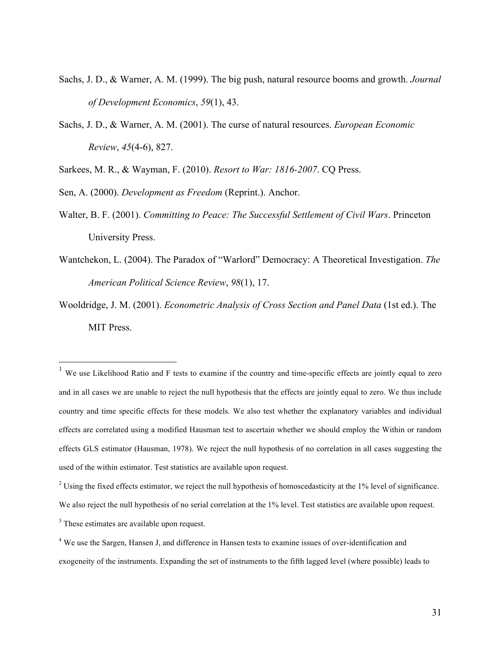- Sachs, J. D., & Warner, A. M. (1999). The big push, natural resource booms and growth. *Journal of Development Economics*, *59*(1), 43.
- Sachs, J. D., & Warner, A. M. (2001). The curse of natural resources. *European Economic Review*, *45*(4-6), 827.
- Sarkees, M. R., & Wayman, F. (2010). *Resort to War: 1816-2007*. CQ Press.

Sen, A. (2000). *Development as Freedom* (Reprint.). Anchor.

- Walter, B. F. (2001). *Committing to Peace: The Successful Settlement of Civil Wars*. Princeton University Press.
- Wantchekon, L. (2004). The Paradox of "Warlord" Democracy: A Theoretical Investigation. *The American Political Science Review*, *98*(1), 17.
- Wooldridge, J. M. (2001). *Econometric Analysis of Cross Section and Panel Data* (1st ed.). The MIT Press.

 $\overline{a}$ 

<sup>&</sup>lt;sup>1</sup> We use Likelihood Ratio and F tests to examine if the country and time-specific effects are jointly equal to zero and in all cases we are unable to reject the null hypothesis that the effects are jointly equal to zero. We thus include country and time specific effects for these models. We also test whether the explanatory variables and individual effects are correlated using a modified Hausman test to ascertain whether we should employ the Within or random effects GLS estimator (Hausman, 1978). We reject the null hypothesis of no correlation in all cases suggesting the used of the within estimator. Test statistics are available upon request.

 $2$  Using the fixed effects estimator, we reject the null hypothesis of homoscedasticity at the  $1\%$  level of significance. We also reject the null hypothesis of no serial correlation at the 1% level. Test statistics are available upon request.

<sup>&</sup>lt;sup>3</sup> These estimates are available upon request.

<sup>&</sup>lt;sup>4</sup> We use the Sargen, Hansen J, and difference in Hansen tests to examine issues of over-identification and exogeneity of the instruments. Expanding the set of instruments to the fifth lagged level (where possible) leads to